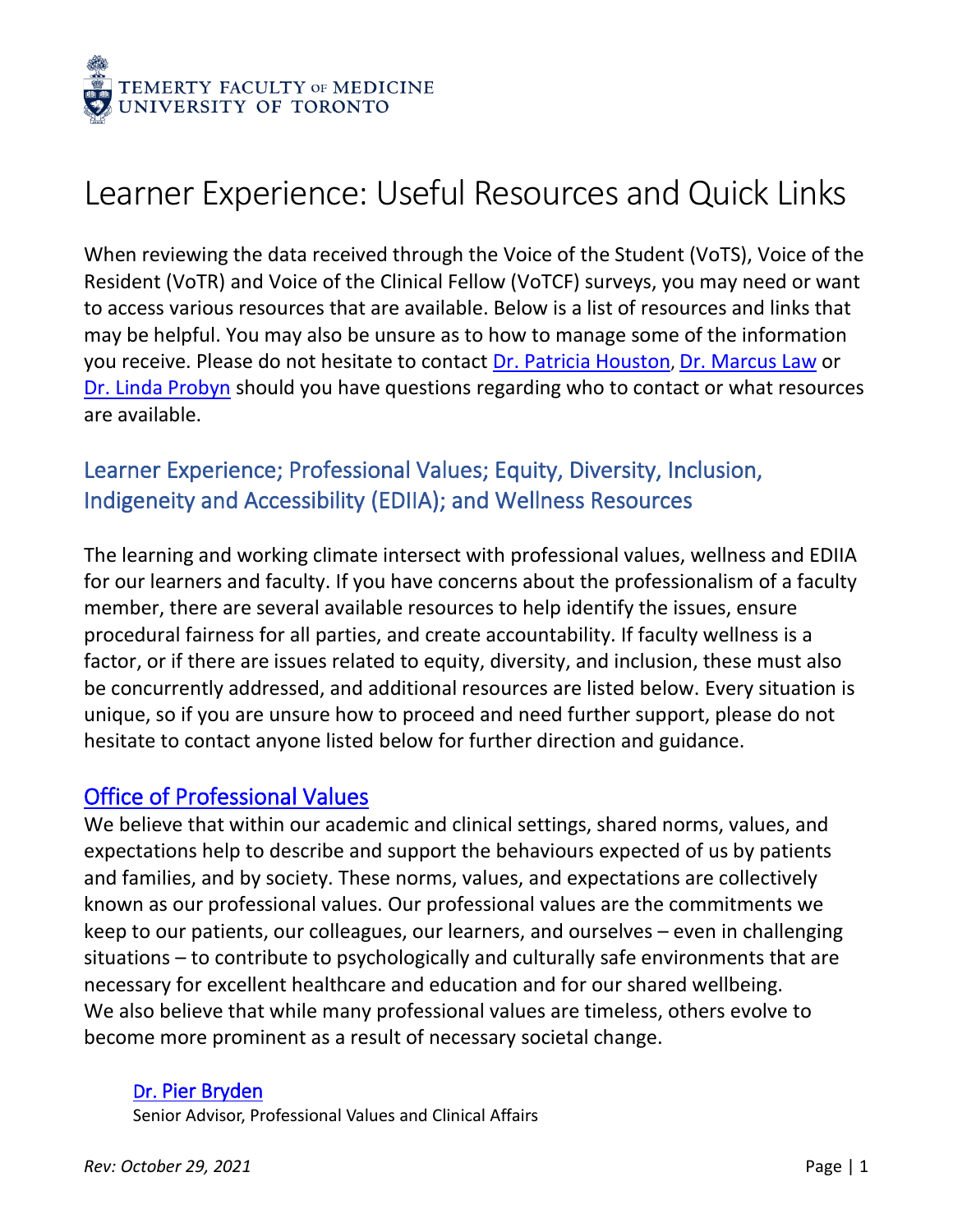

# Learner Experience: Useful Resources and Quick Links

When reviewing the data received through the Voice of the Student (VoTS), Voice of the Resident (VoTR) and Voice of the Clinical Fellow (VoTCF) surveys, you may need or want to access various resources that are available. Below is a list of resources and links that may be helpful. You may also be unsure as to how to manage some of the information you receive. Please do not hesitate to contact [Dr. Patricia Houston](mailto:patricia.houston@utoronto.ca), [Dr. Marcus Law](mailto:marcus.law@utoronto.ca) or [Dr. Linda Probyn](mailto:linda.probyn@sunnybrook.ca) should you have questions regarding who to contact or what resources are available.

# Learner Experience; Professional Values; Equity, Diversity, Inclusion, Indigeneity and Accessibility (EDIIA); and Wellness Resources

The learning and working climate intersect with professional values, wellness and EDIIA for our learners and faculty. If you have concerns about the professionalism of a faculty member, there are several available resources to help identify the issues, ensure procedural fairness for all parties, and create accountability. If faculty wellness is a factor, or if there are issues related to equity, diversity, and inclusion, these must also be concurrently addressed, and additional resources are listed below. Every situation is unique, so if you are unsure how to proceed and need further support, please do not hesitate to contact anyone listed below for further direction and guidance.

### [Office of Professional Values](https://temertymedicine.utoronto.ca/professional-values)

We believe that within our academic and clinical settings, shared norms, values, and expectations help to describe and support the behaviours expected of us by patients and families, and by society. These norms, values, and expectations are collectively known as our professional values. Our professional values are the commitments we keep to our patients, our colleagues, our learners, and ourselves – even in challenging situations – to contribute to psychologically and culturally safe environments that are necessary for excellent healthcare and education and for our shared wellbeing. We also believe that while many professional values are timeless, others evolve to become more prominent as a result of necessary societal change.

#### Dr. [Pier Bryden](mailto:pier.bryden@utoronto.ca)

Senior Advisor, Professional Values and Clinical Affairs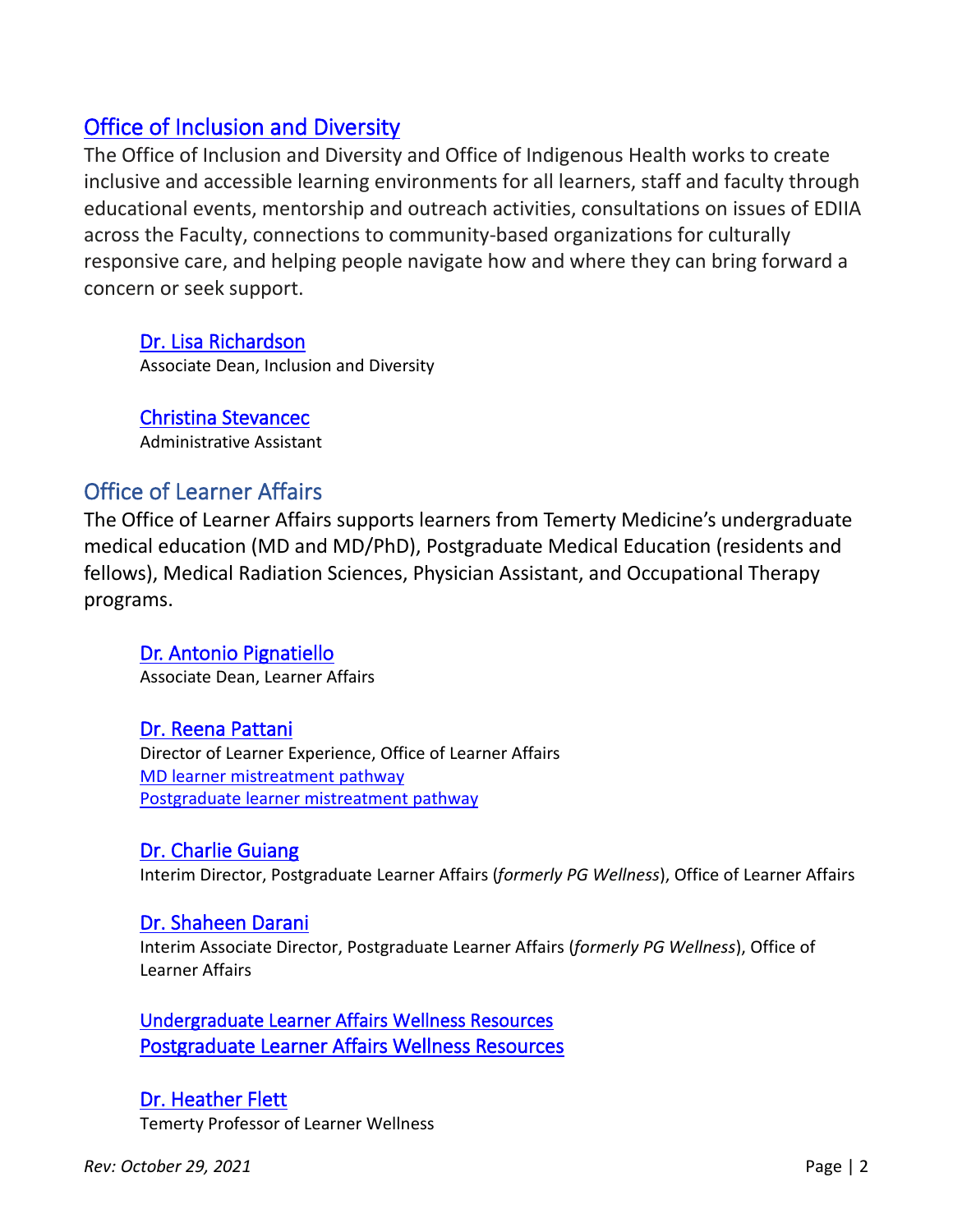# [Office of Inclusion and Diversity](https://temertymedicine.utoronto.ca/office-inclusion-and-diversity)

The Office of Inclusion and Diversity and Office of Indigenous Health works to create inclusive and accessible learning environments for all learners, staff and faculty through educational events, mentorship and outreach activities, consultations on issues of EDIIA across the Faculty, connections to community-based organizations for culturally responsive care, and helping people navigate how and where they can bring forward a concern or seek support.

Dr. [Lisa Richardson](mailto:lis.richardson@utoronto.ca) Associate Dean, Inclusion and Diversity

[Christina Stevancec](mailto:Medicine.inclusiondiversity@utoronto.ca) Administrative Assistant

# Office of Learner Affairs

The Office of Learner Affairs supports learners from Temerty Medicine's undergraduate medical education (MD and MD/PhD), Postgraduate Medical Education (residents and fellows), Medical Radiation Sciences, Physician Assistant, and Occupational Therapy programs.

[Dr. Antonio Pignatiello](mailto:tony.pignatiello@utoronto.ca) Associate Dean, Learner Affairs

#### [Dr. Reena Pattani](mailto:reena.pattani@utoronto.ca)

Director of Learner Experience, Office of Learner Affairs MD learner [mistreatment](https://md.utoronto.ca/student-mistreatment) pathway [Postgraduate learner mistreatment](https://pgme.utoronto.ca/current-trainees/while-youre-training/learner-mistreatment/) pathway

#### [Dr. Charlie Guiang](mailto:charlie.guiang@utoronto.ca)

Interim Director, Postgraduate Learner Affairs (*formerly PG Wellness*), Office of Learner Affairs

#### [Dr. Shaheen Darani](mailto:shaheennalicia.darani@utoronto.ca)

Interim Associate Director, Postgraduate Learner Affairs (*formerly PG Wellness*), Office of Learner Affairs

[Undergraduate Learner Affairs Wellness Resources](https://md.utoronto.ca/personal-counselling-student-wellness)  [Postgraduate Learner Affairs Wellness Resources](https://pgme.utoronto.ca/current-trainees/while-youre-training/access-wellness-resources/)

[Dr. Heather Flett](mailto:heather.flett@utoronto.ca) Temerty Professor of Learner Wellness